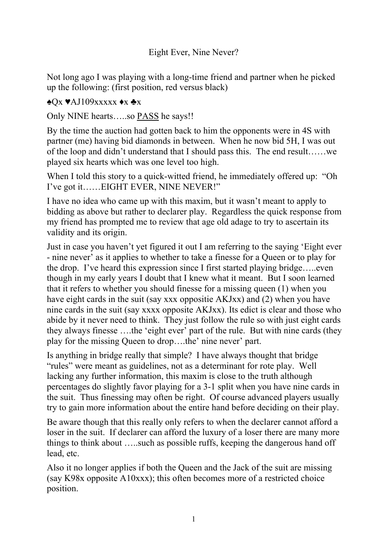Not long ago I was playing with a long-time friend and partner when he picked up the following: (first position, red versus black)

## ♠Qx ♥AJ109xxxxx ♦x ♣x

Only NINE hearts.....so **PASS** he says!!

By the time the auction had gotten back to him the opponents were in 4S with partner (me) having bid diamonds in between. When he now bid 5H, I was out of the loop and didn't understand that I should pass this. The end result……we played six hearts which was one level too high.

When I told this story to a quick-witted friend, he immediately offered up: "Oh I've got it……EIGHT EVER, NINE NEVER!"

I have no idea who came up with this maxim, but it wasn't meant to apply to bidding as above but rather to declarer play. Regardless the quick response from my friend has prompted me to review that age old adage to try to ascertain its validity and its origin.

Just in case you haven't yet figured it out I am referring to the saying 'Eight ever - nine never' as it applies to whether to take a finesse for a Queen or to play for the drop. I've heard this expression since I first started playing bridge…..even though in my early years I doubt that I knew what it meant. But I soon learned that it refers to whether you should finesse for a missing queen (1) when you have eight cards in the suit (say xxx oppositie AKJxx) and (2) when you have nine cards in the suit (say xxxx opposite AKJxx). Its edict is clear and those who abide by it never need to think. They just follow the rule so with just eight cards they always finesse ….the 'eight ever' part of the rule. But with nine cards (they play for the missing Queen to drop….the' nine never' part.

Is anything in bridge really that simple? I have always thought that bridge "rules" were meant as guidelines, not as a determinant for rote play. Well lacking any further information, this maxim is close to the truth although percentages do slightly favor playing for a 3-1 split when you have nine cards in the suit. Thus finessing may often be right. Of course advanced players usually try to gain more information about the entire hand before deciding on their play.

Be aware though that this really only refers to when the declarer cannot afford a loser in the suit. If declarer can afford the luxury of a loser there are many more things to think about …..such as possible ruffs, keeping the dangerous hand off lead, etc.

Also it no longer applies if both the Queen and the Jack of the suit are missing (say K98x opposite A10xxx); this often becomes more of a restricted choice position.